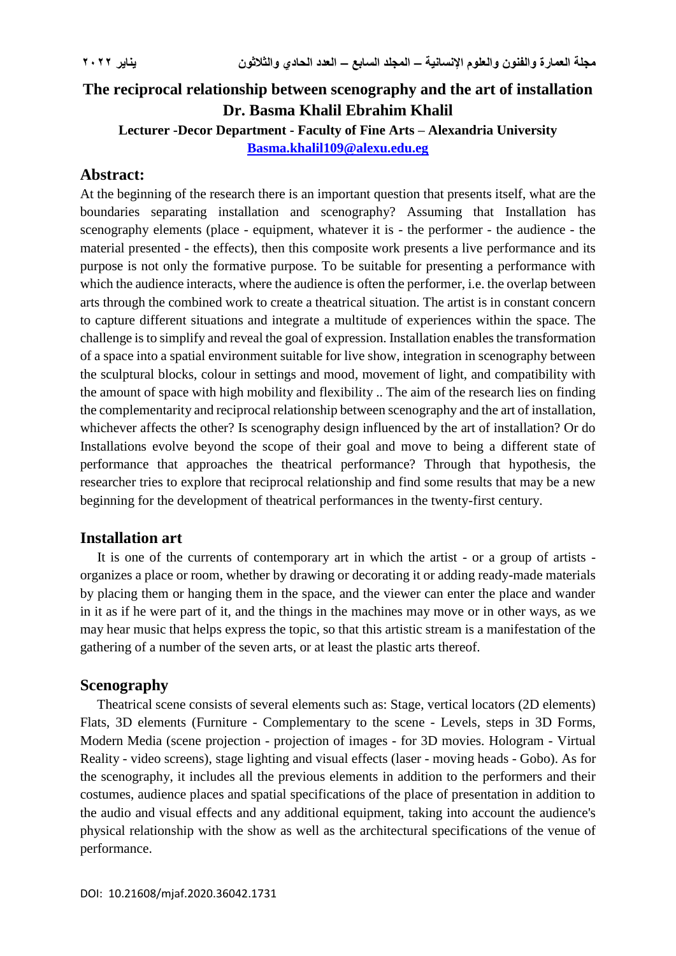# **The reciprocal relationship between scenography and the art of installation Dr. Basma Khalil Ebrahim Khalil Lecturer -Decor Department - Faculty of Fine Arts – Alexandria University**

**[Basma.khalil109@alexu.edu.eg](mailto:Basma.khalil109@alexu.edu.eg)**

# **Abstract:**

At the beginning of the research there is an important question that presents itself, what are the boundaries separating installation and scenography? Assuming that Installation has scenography elements (place - equipment, whatever it is - the performer - the audience - the material presented - the effects), then this composite work presents a live performance and its purpose is not only the formative purpose. To be suitable for presenting a performance with which the audience interacts, where the audience is often the performer, i.e. the overlap between arts through the combined work to create a theatrical situation. The artist is in constant concern to capture different situations and integrate a multitude of experiences within the space. The challenge is to simplify and reveal the goal of expression. Installation enables the transformation of a space into a spatial environment suitable for live show, integration in scenography between the sculptural blocks, colour in settings and mood, movement of light, and compatibility with the amount of space with high mobility and flexibility .. The aim of the research lies on finding the complementarity and reciprocal relationship between scenography and the art of installation, whichever affects the other? Is scenography design influenced by the art of installation? Or do Installations evolve beyond the scope of their goal and move to being a different state of performance that approaches the theatrical performance? Through that hypothesis, the researcher tries to explore that reciprocal relationship and find some results that may be a new beginning for the development of theatrical performances in the twenty-first century.

### **Installation art**

 It is one of the currents of contemporary art in which the artist - or a group of artists organizes a place or room, whether by drawing or decorating it or adding ready-made materials by placing them or hanging them in the space, and the viewer can enter the place and wander in it as if he were part of it, and the things in the machines may move or in other ways, as we may hear music that helps express the topic, so that this artistic stream is a manifestation of the gathering of a number of the seven arts, or at least the plastic arts thereof.

### **Scenography**

 Theatrical scene consists of several elements such as: Stage, vertical locators (2D elements) Flats, 3D elements (Furniture - Complementary to the scene - Levels, steps in 3D Forms, Modern Media (scene projection - projection of images - for 3D movies. Hologram - Virtual Reality - video screens), stage lighting and visual effects (laser - moving heads - Gobo). As for the scenography, it includes all the previous elements in addition to the performers and their costumes, audience places and spatial specifications of the place of presentation in addition to the audio and visual effects and any additional equipment, taking into account the audience's physical relationship with the show as well as the architectural specifications of the venue of performance.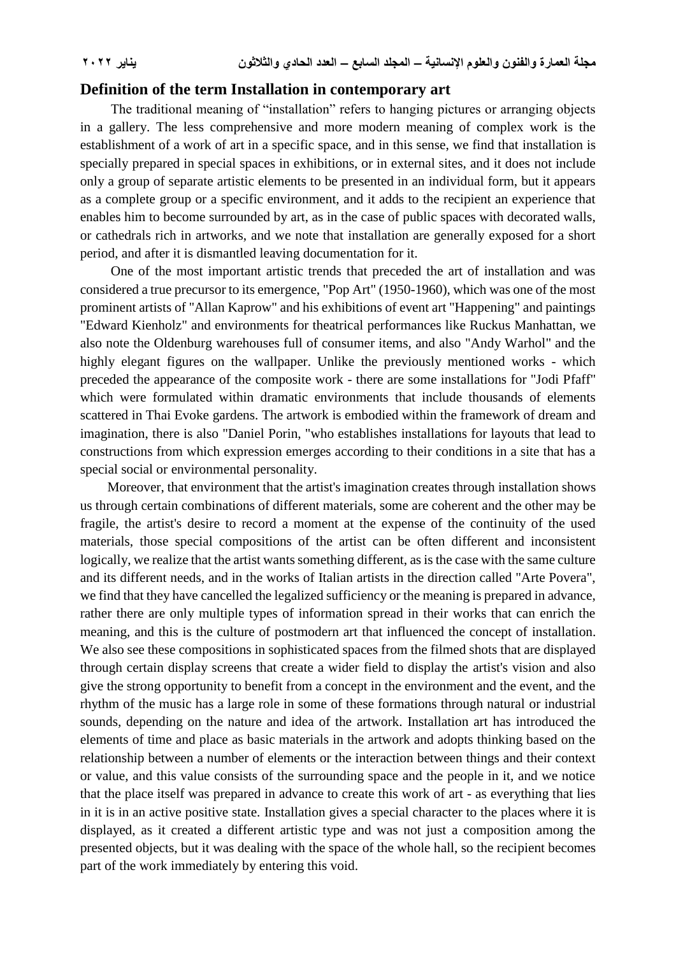#### **Definition of the term Installation in contemporary art**

 The traditional meaning of "installation" refers to hanging pictures or arranging objects in a gallery. The less comprehensive and more modern meaning of complex work is the establishment of a work of art in a specific space, and in this sense, we find that installation is specially prepared in special spaces in exhibitions, or in external sites, and it does not include only a group of separate artistic elements to be presented in an individual form, but it appears as a complete group or a specific environment, and it adds to the recipient an experience that enables him to become surrounded by art, as in the case of public spaces with decorated walls, or cathedrals rich in artworks, and we note that installation are generally exposed for a short period, and after it is dismantled leaving documentation for it.

 One of the most important artistic trends that preceded the art of installation and was considered a true precursor to its emergence, "Pop Art" (1950-1960), which was one of the most prominent artists of "Allan Kaprow" and his exhibitions of event art "Happening" and paintings "Edward Kienholz" and environments for theatrical performances like Ruckus Manhattan, we also note the Oldenburg warehouses full of consumer items, and also "Andy Warhol" and the highly elegant figures on the wallpaper. Unlike the previously mentioned works - which preceded the appearance of the composite work - there are some installations for "Jodi Pfaff" which were formulated within dramatic environments that include thousands of elements scattered in Thai Evoke gardens. The artwork is embodied within the framework of dream and imagination, there is also "Daniel Porin, "who establishes installations for layouts that lead to constructions from which expression emerges according to their conditions in a site that has a special social or environmental personality.

 Moreover, that environment that the artist's imagination creates through installation shows us through certain combinations of different materials, some are coherent and the other may be fragile, the artist's desire to record a moment at the expense of the continuity of the used materials, those special compositions of the artist can be often different and inconsistent logically, we realize that the artist wants something different, as is the case with the same culture and its different needs, and in the works of Italian artists in the direction called "Arte Povera", we find that they have cancelled the legalized sufficiency or the meaning is prepared in advance, rather there are only multiple types of information spread in their works that can enrich the meaning, and this is the culture of postmodern art that influenced the concept of installation. We also see these compositions in sophisticated spaces from the filmed shots that are displayed through certain display screens that create a wider field to display the artist's vision and also give the strong opportunity to benefit from a concept in the environment and the event, and the rhythm of the music has a large role in some of these formations through natural or industrial sounds, depending on the nature and idea of the artwork. Installation art has introduced the elements of time and place as basic materials in the artwork and adopts thinking based on the relationship between a number of elements or the interaction between things and their context or value, and this value consists of the surrounding space and the people in it, and we notice that the place itself was prepared in advance to create this work of art - as everything that lies in it is in an active positive state. Installation gives a special character to the places where it is displayed, as it created a different artistic type and was not just a composition among the presented objects, but it was dealing with the space of the whole hall, so the recipient becomes part of the work immediately by entering this void.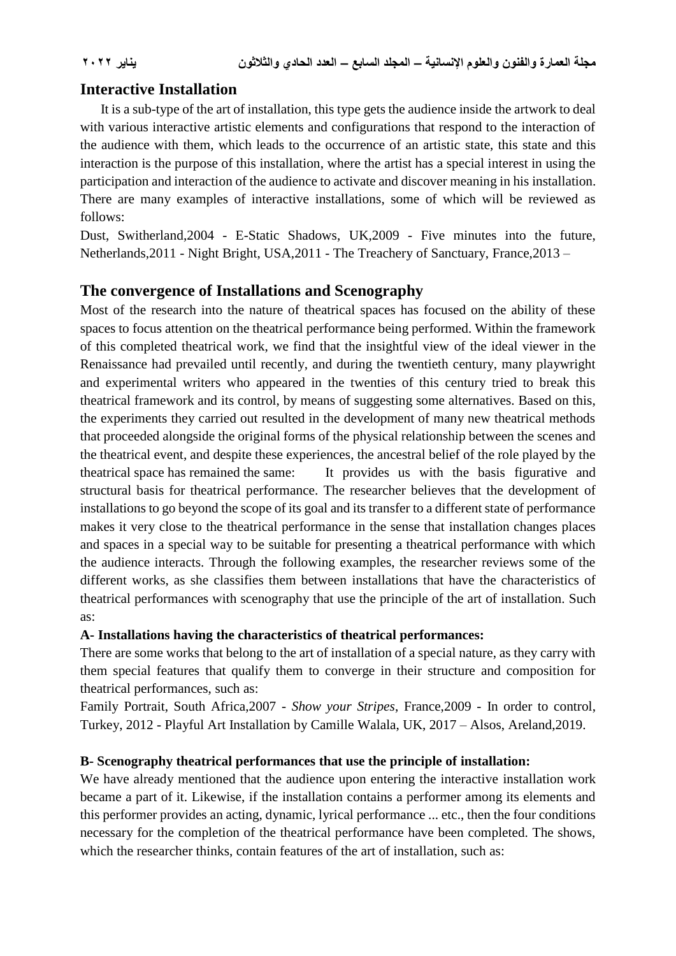# **Interactive Installation**

 It is a sub-type of the art of installation, this type gets the audience inside the artwork to deal with various interactive artistic elements and configurations that respond to the interaction of the audience with them, which leads to the occurrence of an artistic state, this state and this interaction is the purpose of this installation, where the artist has a special interest in using the participation and interaction of the audience to activate and discover meaning in his installation. There are many examples of interactive installations, some of which will be reviewed as follows:

Dust, Switherland,2004 - E-Static Shadows, UK,2009 - Five minutes into the future, Netherlands,2011 - Night Bright, USA,2011 - The Treachery of Sanctuary, France,2013 –

# **The convergence of Installations and Scenography**

Most of the research into the nature of theatrical spaces has focused on the ability of these spaces to focus attention on the theatrical performance being performed. Within the framework of this completed theatrical work, we find that the insightful view of the ideal viewer in the Renaissance had prevailed until recently, and during the twentieth century, many playwright and experimental writers who appeared in the twenties of this century tried to break this theatrical framework and its control, by means of suggesting some alternatives. Based on this, the experiments they carried out resulted in the development of many new theatrical methods that proceeded alongside the original forms of the physical relationship between the scenes and the theatrical event, and despite these experiences, the ancestral belief of the role played by the theatrical space has remained the same: It provides us with the basis figurative and structural basis for theatrical performance. The researcher believes that the development of installations to go beyond the scope of its goal and its transfer to a different state of performance makes it very close to the theatrical performance in the sense that installation changes places and spaces in a special way to be suitable for presenting a theatrical performance with which the audience interacts. Through the following examples, the researcher reviews some of the different works, as she classifies them between installations that have the characteristics of theatrical performances with scenography that use the principle of the art of installation. Such as:

### **A- Installations having the characteristics of theatrical performances:**

There are some works that belong to the art of installation of a special nature, as they carry with them special features that qualify them to converge in their structure and composition for theatrical performances, such as:

Family Portrait, South Africa,2007 - *Show your Stripes*, France,2009 - In order to control, Turkey, 2012 - Playful Art Installation by Camille Walala, UK, 2017 – Alsos, Areland,2019.

### **B- Scenography theatrical performances that use the principle of installation:**

We have already mentioned that the audience upon entering the interactive installation work became a part of it. Likewise, if the installation contains a performer among its elements and this performer provides an acting, dynamic, lyrical performance ... etc., then the four conditions necessary for the completion of the theatrical performance have been completed. The shows, which the researcher thinks, contain features of the art of installation, such as: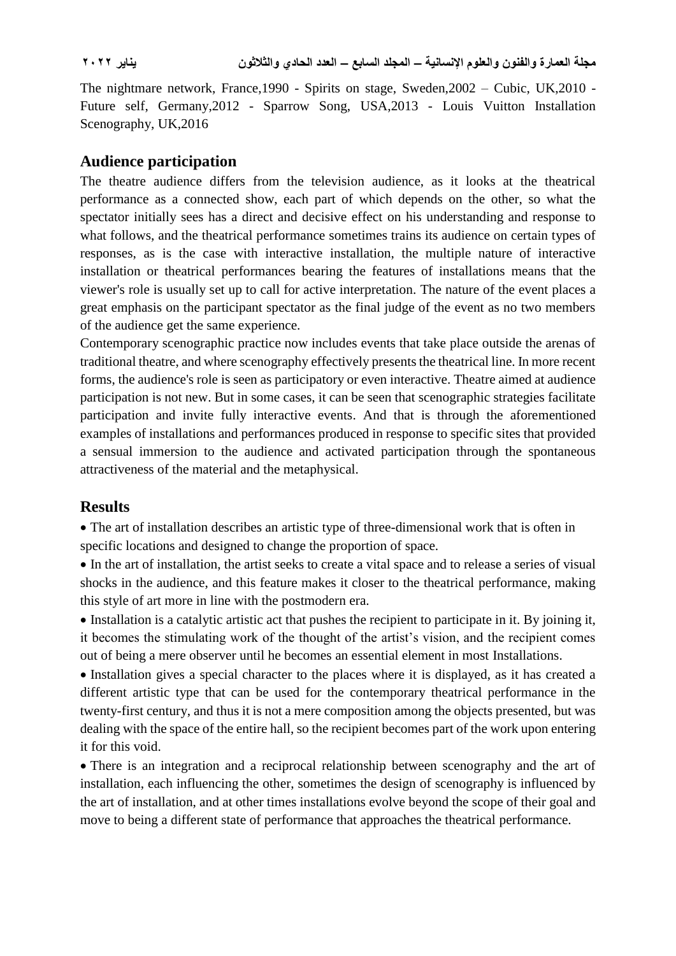The nightmare network, France,1990 - Spirits on stage, Sweden,2002 – Cubic, UK,2010 - Future self, Germany,2012 - Sparrow Song, USA,2013 - Louis Vuitton Installation Scenography, UK,2016

# **Audience participation**

The theatre audience differs from the television audience, as it looks at the theatrical performance as a connected show, each part of which depends on the other, so what the spectator initially sees has a direct and decisive effect on his understanding and response to what follows, and the theatrical performance sometimes trains its audience on certain types of responses, as is the case with interactive installation, the multiple nature of interactive installation or theatrical performances bearing the features of installations means that the viewer's role is usually set up to call for active interpretation. The nature of the event places a great emphasis on the participant spectator as the final judge of the event as no two members of the audience get the same experience.

Contemporary scenographic practice now includes events that take place outside the arenas of traditional theatre, and where scenography effectively presents the theatrical line. In more recent forms, the audience's role is seen as participatory or even interactive. Theatre aimed at audience participation is not new. But in some cases, it can be seen that scenographic strategies facilitate participation and invite fully interactive events. And that is through the aforementioned examples of installations and performances produced in response to specific sites that provided a sensual immersion to the audience and activated participation through the spontaneous attractiveness of the material and the metaphysical.

# **Results**

 The art of installation describes an artistic type of three-dimensional work that is often in specific locations and designed to change the proportion of space.

 In the art of installation, the artist seeks to create a vital space and to release a series of visual shocks in the audience, and this feature makes it closer to the theatrical performance, making this style of art more in line with the postmodern era.

 Installation is a catalytic artistic act that pushes the recipient to participate in it. By joining it, it becomes the stimulating work of the thought of the artist's vision, and the recipient comes out of being a mere observer until he becomes an essential element in most Installations.

• Installation gives a special character to the places where it is displayed, as it has created a different artistic type that can be used for the contemporary theatrical performance in the twenty-first century, and thus it is not a mere composition among the objects presented, but was dealing with the space of the entire hall, so the recipient becomes part of the work upon entering it for this void.

 There is an integration and a reciprocal relationship between scenography and the art of installation, each influencing the other, sometimes the design of scenography is influenced by the art of installation, and at other times installations evolve beyond the scope of their goal and move to being a different state of performance that approaches the theatrical performance.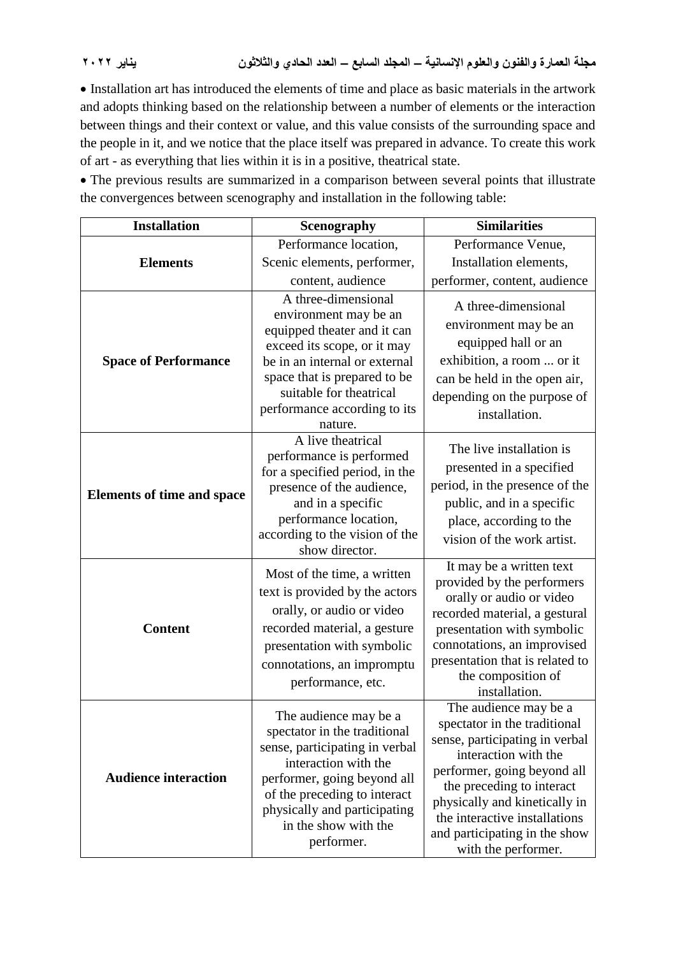Installation art has introduced the elements of time and place as basic materials in the artwork and adopts thinking based on the relationship between a number of elements or the interaction between things and their context or value, and this value consists of the surrounding space and the people in it, and we notice that the place itself was prepared in advance. To create this work of art - as everything that lies within it is in a positive, theatrical state.

 The previous results are summarized in a comparison between several points that illustrate the convergences between scenography and installation in the following table:

| <b>Installation</b>               | Scenography                                                                                                                                                                                                                                          | <b>Similarities</b>                                                                                                                                                                                                                                                                                   |
|-----------------------------------|------------------------------------------------------------------------------------------------------------------------------------------------------------------------------------------------------------------------------------------------------|-------------------------------------------------------------------------------------------------------------------------------------------------------------------------------------------------------------------------------------------------------------------------------------------------------|
| <b>Elements</b>                   | Performance location,                                                                                                                                                                                                                                | Performance Venue,                                                                                                                                                                                                                                                                                    |
|                                   | Scenic elements, performer,                                                                                                                                                                                                                          | Installation elements,                                                                                                                                                                                                                                                                                |
|                                   | content, audience                                                                                                                                                                                                                                    | performer, content, audience                                                                                                                                                                                                                                                                          |
| <b>Space of Performance</b>       | A three-dimensional<br>environment may be an<br>equipped theater and it can<br>exceed its scope, or it may<br>be in an internal or external<br>space that is prepared to be<br>suitable for theatrical<br>performance according to its<br>nature.    | A three-dimensional<br>environment may be an<br>equipped hall or an<br>exhibition, a room  or it<br>can be held in the open air,<br>depending on the purpose of<br>installation.                                                                                                                      |
| <b>Elements of time and space</b> | A live theatrical<br>performance is performed<br>for a specified period, in the<br>presence of the audience,<br>and in a specific<br>performance location,<br>according to the vision of the<br>show director.                                       | The live installation is<br>presented in a specified<br>period, in the presence of the<br>public, and in a specific<br>place, according to the<br>vision of the work artist.                                                                                                                          |
| <b>Content</b>                    | Most of the time, a written<br>text is provided by the actors<br>orally, or audio or video<br>recorded material, a gesture<br>presentation with symbolic<br>connotations, an impromptu<br>performance, etc.                                          | It may be a written text<br>provided by the performers<br>orally or audio or video<br>recorded material, a gestural<br>presentation with symbolic<br>connotations, an improvised<br>presentation that is related to<br>the composition of<br>installation.                                            |
| <b>Audience interaction</b>       | The audience may be a<br>spectator in the traditional<br>sense, participating in verbal<br>interaction with the<br>performer, going beyond all<br>of the preceding to interact<br>physically and participating<br>in the show with the<br>performer. | The audience may be a<br>spectator in the traditional<br>sense, participating in verbal<br>interaction with the<br>performer, going beyond all<br>the preceding to interact<br>physically and kinetically in<br>the interactive installations<br>and participating in the show<br>with the performer. |